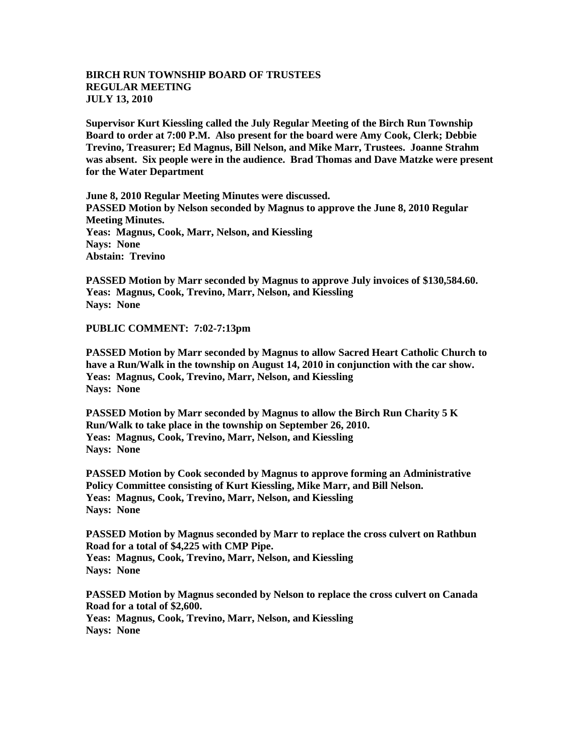## **BIRCH RUN TOWNSHIP BOARD OF TRUSTEES REGULAR MEETING JULY 13, 2010**

**Supervisor Kurt Kiessling called the July Regular Meeting of the Birch Run Township Board to order at 7:00 P.M. Also present for the board were Amy Cook, Clerk; Debbie Trevino, Treasurer; Ed Magnus, Bill Nelson, and Mike Marr, Trustees. Joanne Strahm was absent. Six people were in the audience. Brad Thomas and Dave Matzke were present for the Water Department**

**June 8, 2010 Regular Meeting Minutes were discussed. PASSED Motion by Nelson seconded by Magnus to approve the June 8, 2010 Regular Meeting Minutes. Yeas: Magnus, Cook, Marr, Nelson, and Kiessling Nays: None Abstain: Trevino**

**PASSED Motion by Marr seconded by Magnus to approve July invoices of \$130,584.60. Yeas: Magnus, Cook, Trevino, Marr, Nelson, and Kiessling Nays: None**

**PUBLIC COMMENT: 7:02-7:13pm**

**PASSED Motion by Marr seconded by Magnus to allow Sacred Heart Catholic Church to have a Run/Walk in the township on August 14, 2010 in conjunction with the car show. Yeas: Magnus, Cook, Trevino, Marr, Nelson, and Kiessling Nays: None**

**PASSED Motion by Marr seconded by Magnus to allow the Birch Run Charity 5 K Run/Walk to take place in the township on September 26, 2010. Yeas: Magnus, Cook, Trevino, Marr, Nelson, and Kiessling Nays: None**

**PASSED Motion by Cook seconded by Magnus to approve forming an Administrative Policy Committee consisting of Kurt Kiessling, Mike Marr, and Bill Nelson. Yeas: Magnus, Cook, Trevino, Marr, Nelson, and Kiessling Nays: None**

**PASSED Motion by Magnus seconded by Marr to replace the cross culvert on Rathbun Road for a total of \$4,225 with CMP Pipe. Yeas: Magnus, Cook, Trevino, Marr, Nelson, and Kiessling Nays: None**

**PASSED Motion by Magnus seconded by Nelson to replace the cross culvert on Canada Road for a total of \$2,600. Yeas: Magnus, Cook, Trevino, Marr, Nelson, and Kiessling Nays: None**